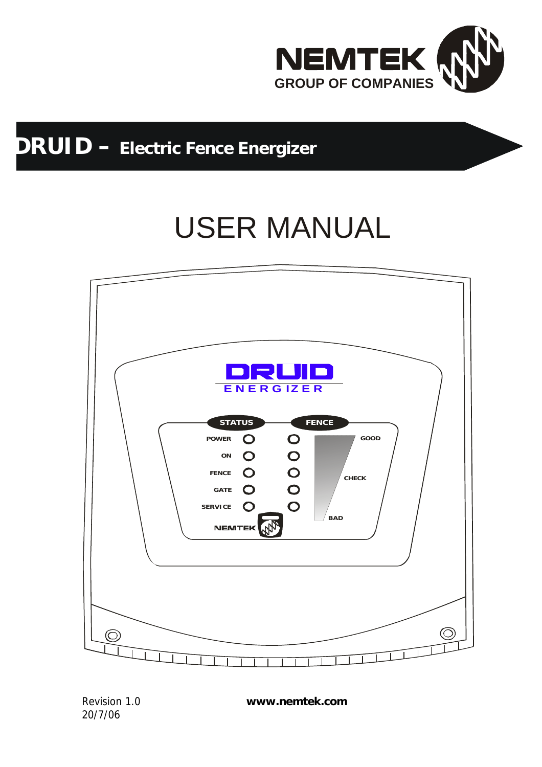

## **DRUID – Electric Fence Energizer**

# USER MANUAL



20/7/06

Revision 1.0 **www.nemtek.com**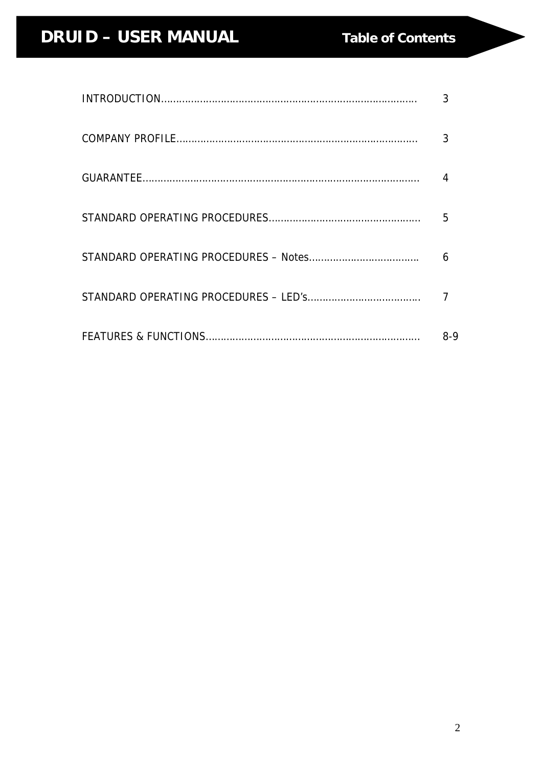### **DRUID – USER MANUAL Table of Contents**

| 3   |
|-----|
| 3   |
|     |
| 5   |
| 6   |
|     |
| 8-9 |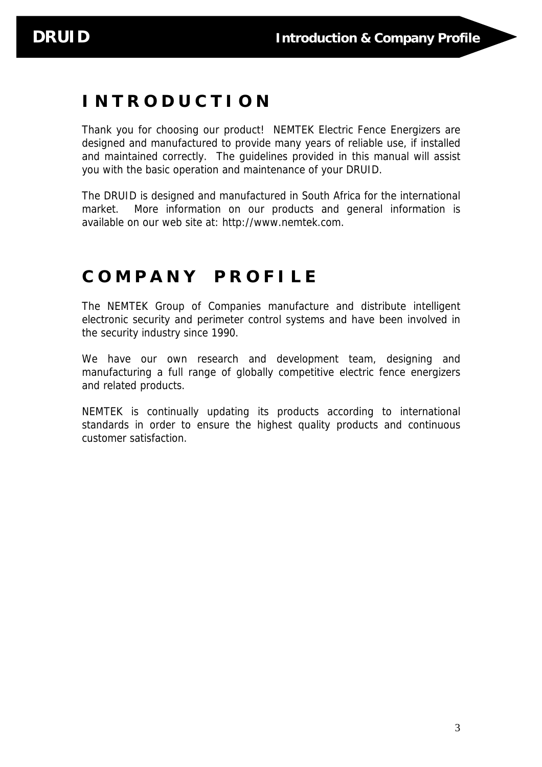### **I N T R O D U C T I O N**

Thank you for choosing our product! NEMTEK Electric Fence Energizers are designed and manufactured to provide many years of reliable use, if installed and maintained correctly. The guidelines provided in this manual will assist you with the basic operation and maintenance of your DRUID.

The DRUID is designed and manufactured in South Africa for the international market. More information on our products and general information is available on our web site at: http://www.nemtek.com.

### **C O M P A N Y P R O F I L E**

The NEMTEK Group of Companies manufacture and distribute intelligent electronic security and perimeter control systems and have been involved in the security industry since 1990.

We have our own research and development team, designing and manufacturing a full range of globally competitive electric fence energizers and related products.

NEMTEK is continually updating its products according to international standards in order to ensure the highest quality products and continuous customer satisfaction.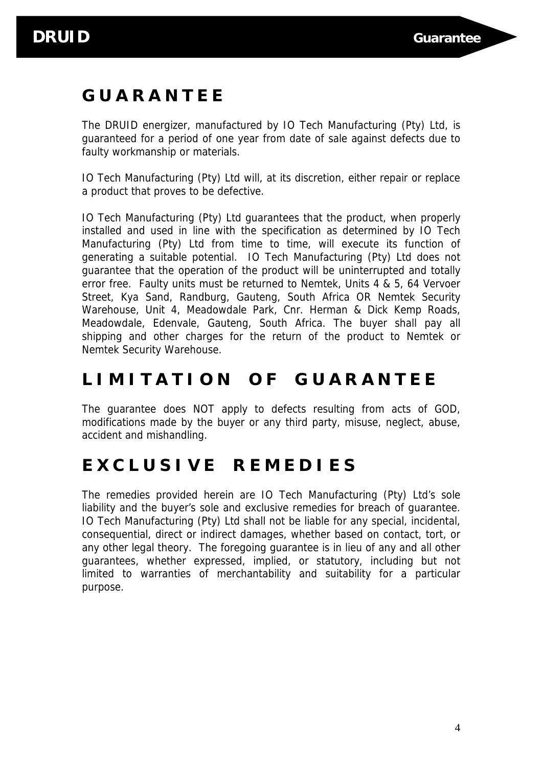### **G U A R A N T E E**

The DRUID energizer, manufactured by IO Tech Manufacturing (Pty) Ltd, is guaranteed for a period of one year from date of sale against defects due to faulty workmanship or materials.

IO Tech Manufacturing (Pty) Ltd will, at its discretion, either repair or replace a product that proves to be defective.

IO Tech Manufacturing (Pty) Ltd guarantees that the product, when properly installed and used in line with the specification as determined by IO Tech Manufacturing (Pty) Ltd from time to time, will execute its function of generating a suitable potential. IO Tech Manufacturing (Pty) Ltd does not guarantee that the operation of the product will be uninterrupted and totally error free. Faulty units must be returned to Nemtek, Units 4 & 5, 64 Vervoer Street, Kya Sand, Randburg, Gauteng, South Africa OR Nemtek Security Warehouse, Unit 4, Meadowdale Park, Cnr. Herman & Dick Kemp Roads, Meadowdale, Edenvale, Gauteng, South Africa. The buyer shall pay all shipping and other charges for the return of the product to Nemtek or Nemtek Security Warehouse.

### **L I M I T A T I O N O F G U A R A N T E E**

The guarantee does NOT apply to defects resulting from acts of GOD, modifications made by the buyer or any third party, misuse, neglect, abuse, accident and mishandling.

### **E X C L U S I V E R E M E D I E S**

The remedies provided herein are IO Tech Manufacturing (Pty) Ltd's sole liability and the buyer's sole and exclusive remedies for breach of guarantee. IO Tech Manufacturing (Pty) Ltd shall not be liable for any special, incidental, consequential, direct or indirect damages, whether based on contact, tort, or any other legal theory. The foregoing guarantee is in lieu of any and all other guarantees, whether expressed, implied, or statutory, including but not limited to warranties of merchantability and suitability for a particular purpose.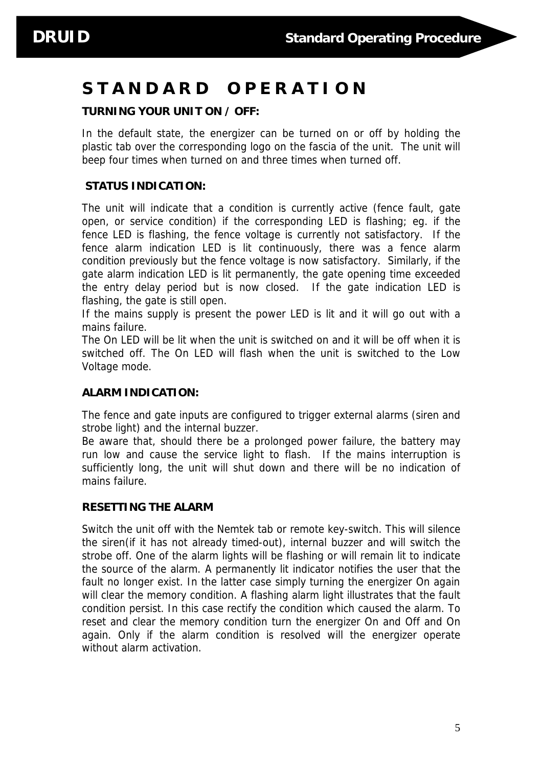### **S T A N D A R D O P E R A T I O N**

#### **TURNING YOUR UNIT ON / OFF:**

In the default state, the energizer can be turned on or off by holding the plastic tab over the corresponding logo on the fascia of the unit. The unit will beep four times when turned on and three times when turned off.

#### **STATUS INDICATION:**

The unit will indicate that a condition is currently active (fence fault, gate open, or service condition) if the corresponding LED is flashing; eg. if the fence LED is flashing, the fence voltage is currently not satisfactory. If the fence alarm indication LED is lit continuously, there was a fence alarm condition previously but the fence voltage is now satisfactory. Similarly, if the gate alarm indication LED is lit permanently, the gate opening time exceeded the entry delay period but is now closed. If the gate indication LED is flashing, the gate is still open.

If the mains supply is present the power LED is lit and it will go out with a mains failure.

The On LED will be lit when the unit is switched on and it will be off when it is switched off. The On LED will flash when the unit is switched to the Low Voltage mode.

#### **ALARM INDICATION:**

The fence and gate inputs are configured to trigger external alarms (siren and strobe light) and the internal buzzer.

Be aware that, should there be a prolonged power failure, the battery may run low and cause the service light to flash. If the mains interruption is sufficiently long, the unit will shut down and there will be no indication of mains failure.

#### **RESETTING THE ALARM**

Switch the unit off with the Nemtek tab or remote key-switch. This will silence the siren(if it has not already timed-out), internal buzzer and will switch the strobe off. One of the alarm lights will be flashing or will remain lit to indicate the source of the alarm. A permanently lit indicator notifies the user that the fault no longer exist. In the latter case simply turning the energizer On again will clear the memory condition. A flashing alarm light illustrates that the fault condition persist. In this case rectify the condition which caused the alarm. To reset and clear the memory condition turn the energizer On and Off and On again. Only if the alarm condition is resolved will the energizer operate without alarm activation.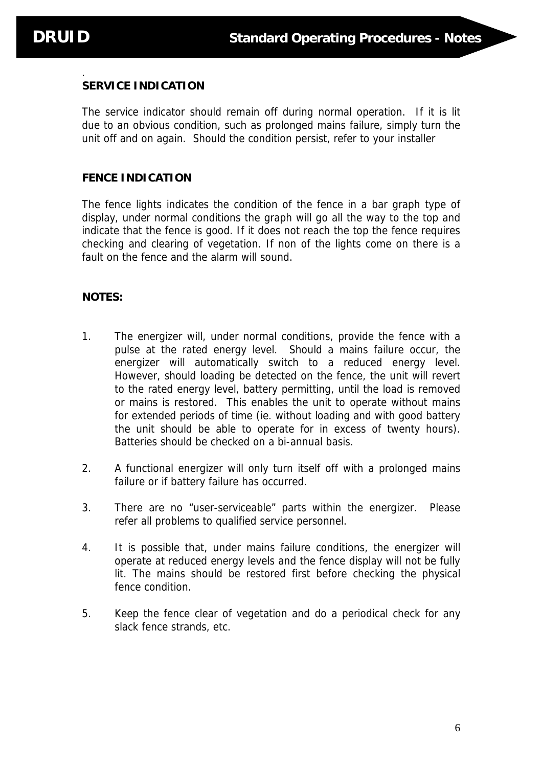#### . **SERVICE INDICATION**

The service indicator should remain off during normal operation. If it is lit due to an obvious condition, such as prolonged mains failure, simply turn the unit off and on again. Should the condition persist, refer to your installer

#### **FENCE INDICATION**

The fence lights indicates the condition of the fence in a bar graph type of display, under normal conditions the graph will go all the way to the top and indicate that the fence is good. If it does not reach the top the fence requires checking and clearing of vegetation. If non of the lights come on there is a fault on the fence and the alarm will sound.

#### **NOTES:**

- 1. The energizer will, under normal conditions, provide the fence with a pulse at the rated energy level. Should a mains failure occur, the energizer will automatically switch to a reduced energy level. However, should loading be detected on the fence, the unit will revert to the rated energy level, battery permitting, until the load is removed or mains is restored. This enables the unit to operate without mains for extended periods of time (ie. without loading and with good battery the unit should be able to operate for in excess of twenty hours). Batteries should be checked on a bi-annual basis.
- 2. A functional energizer will only turn itself off with a prolonged mains failure or if battery failure has occurred.
- 3. There are no "user-serviceable" parts within the energizer. Please refer all problems to qualified service personnel.
- 4. It is possible that, under mains failure conditions, the energizer will operate at reduced energy levels and the fence display will not be fully lit. The mains should be restored first before checking the physical fence condition.
- 5. Keep the fence clear of vegetation and do a periodical check for any slack fence strands, etc.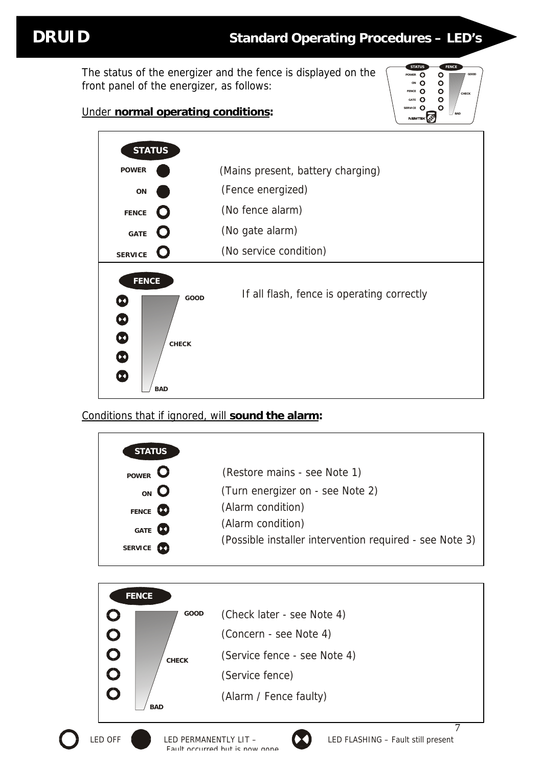The status of the energizer and the fence is displayed on the front panel of the energizer, as follows:

### Under **normal operating conditions:**



| <b>STATUS</b>                                                                                                                                           |                                            |
|---------------------------------------------------------------------------------------------------------------------------------------------------------|--------------------------------------------|
| <b>POWER</b>                                                                                                                                            | (Mains present, battery charging)          |
| ON                                                                                                                                                      | (Fence energized)                          |
| <b>FENCE</b>                                                                                                                                            | (No fence alarm)                           |
| GATE                                                                                                                                                    | (No gate alarm)                            |
| <b>SERVICE</b>                                                                                                                                          | (No service condition)                     |
| <b>FENCE</b><br>GOOD<br>$\blacktriangleright$<br>$\boldsymbol{\omega}$<br>$\boldsymbol{\Phi}$<br><b>CHECK</b><br>$\boldsymbol{\Phi}$<br>Ω<br><b>BAD</b> | If all flash, fence is operating correctly |

Conditions that if ignored, will **sound the alarm:**

| <b>STATUS</b>   |                   |                                                         |
|-----------------|-------------------|---------------------------------------------------------|
| <b>POWER</b>    |                   | (Restore mains - see Note 1)                            |
| <sub>ON</sub> O |                   | (Turn energizer on - see Note 2)                        |
| FENCE <b>CO</b> |                   | (Alarm condition)                                       |
| GATE <b>O</b>   |                   | (Alarm condition)                                       |
| <b>SERVICE</b>  | $\mathbf{\Omega}$ | (Possible installer intervention required - see Note 3) |



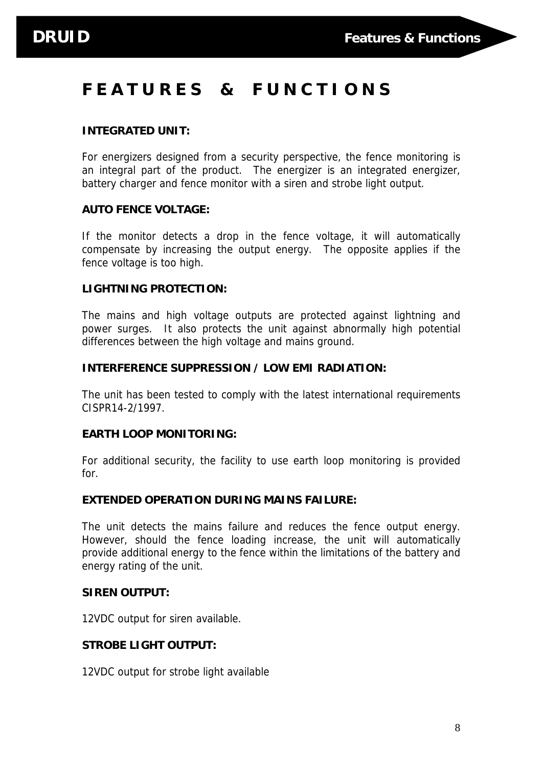### **F E A T U R E S & F U N C T I O N S**

#### **INTEGRATED UNIT:**

For energizers designed from a security perspective, the fence monitoring is an integral part of the product. The energizer is an integrated energizer, battery charger and fence monitor with a siren and strobe light output.

#### **AUTO FENCE VOLTAGE:**

If the monitor detects a drop in the fence voltage, it will automatically compensate by increasing the output energy. The opposite applies if the fence voltage is too high.

#### **LIGHTNING PROTECTION:**

The mains and high voltage outputs are protected against lightning and power surges. It also protects the unit against abnormally high potential differences between the high voltage and mains ground.

#### **INTERFERENCE SUPPRESSION / LOW EMI RADIATION:**

The unit has been tested to comply with the latest international requirements CISPR14-2/1997.

#### **EARTH LOOP MONITORING:**

For additional security, the facility to use earth loop monitoring is provided for.

#### **EXTENDED OPERATION DURING MAINS FAILURE:**

The unit detects the mains failure and reduces the fence output energy. However, should the fence loading increase, the unit will automatically provide additional energy to the fence within the limitations of the battery and energy rating of the unit.

#### **SIREN OUTPUT:**

12VDC output for siren available.

#### **STROBE LIGHT OUTPUT:**

12VDC output for strobe light available